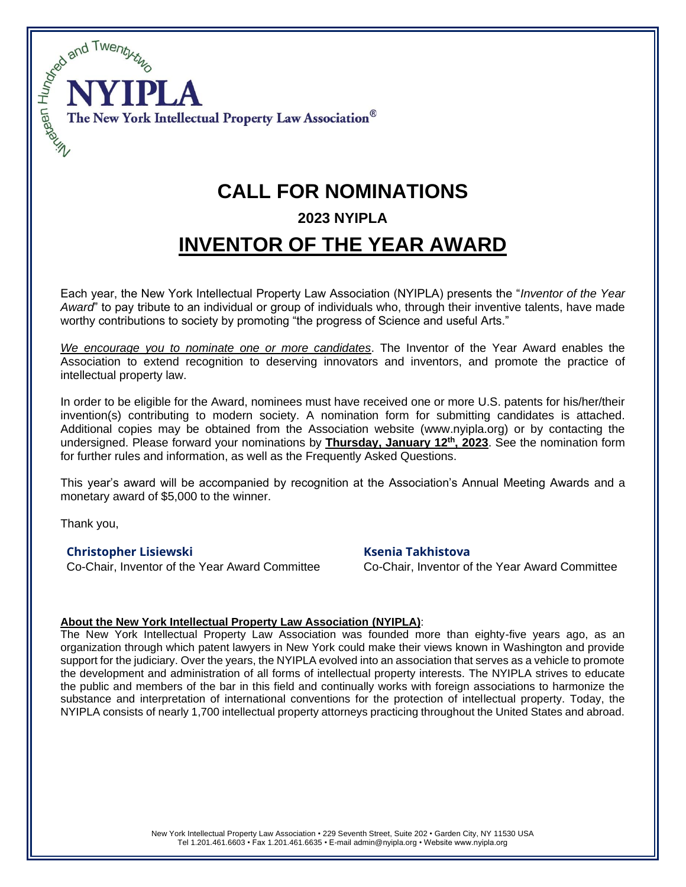

# **CALL FOR NOMINATIONS**

## **2023 NYIPLA**

## **INVENTOR OF THE YEAR AWARD**

Each year, the New York Intellectual Property Law Association (NYIPLA) presents the "*Inventor of the Year Award*" to pay tribute to an individual or group of individuals who, through their inventive talents, have made worthy contributions to society by promoting "the progress of Science and useful Arts."

*We encourage you to nominate one or more candidates*. The Inventor of the Year Award enables the Association to extend recognition to deserving innovators and inventors, and promote the practice of intellectual property law.

In order to be eligible for the Award, nominees must have received one or more U.S. patents for his/her/their invention(s) contributing to modern society. A nomination form for submitting candidates is attached. Additional copies may be obtained from the Association website (www.nyipla.org) or by contacting the undersigned. Please forward your nominations by **Thursday, January 12 th , 2023**. See the nomination form for further rules and information, as well as the Frequently Asked Questions.

This year's award will be accompanied by recognition at the Association's Annual Meeting Awards and a monetary award of \$5,000 to the winner.

Thank you,

### **Christopher Lisiewski Ksenia Takhistova**

Co-Chair, Inventor of the Year Award Committee Co-Chair, Inventor of the Year Award Committee

#### **About the New York Intellectual Property Law Association (NYIPLA)**:

The New York Intellectual Property Law Association was founded more than eighty-five years ago, as an organization through which patent lawyers in New York could make their views known in Washington and provide support for the judiciary. Over the years, the NYIPLA evolved into an association that serves as a vehicle to promote the development and administration of all forms of intellectual property interests. The NYIPLA strives to educate the public and members of the bar in this field and continually works with foreign associations to harmonize the substance and interpretation of international conventions for the protection of intellectual property. Today, the NYIPLA consists of nearly 1,700 intellectual property attorneys practicing throughout the United States and abroad.

> New York Intellectual Property Law Association • 229 Seventh Street, Suite 202 • Garden City, NY 11530 USA Tel 1.201.461.6603 • Fax 1.201.461.6635 • E-mail admin@nyipla.org • Website www.nyipla.org